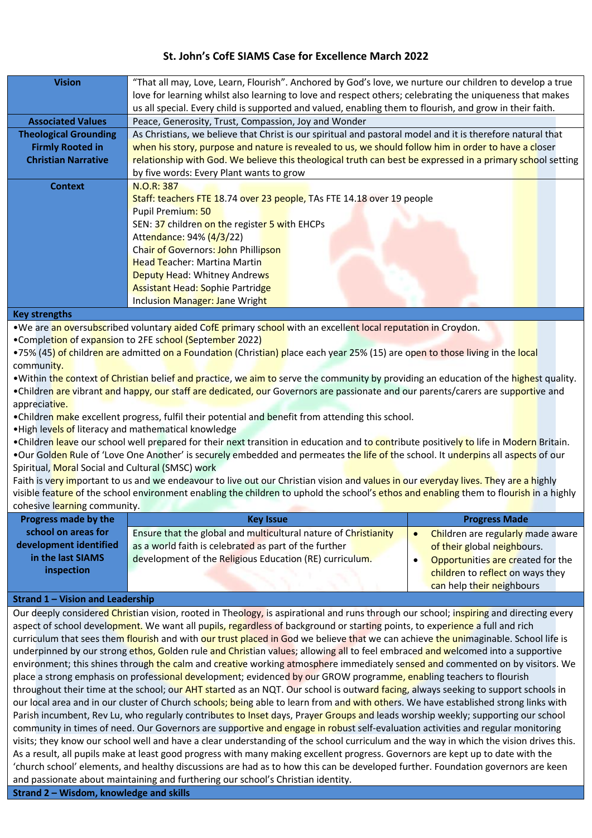# **St. John's CofE SIAMS Case for Excellence March 2022**

| <b>Vision</b>                | "That all may, Love, Learn, Flourish". Anchored by God's love, we nurture our children to develop a true   |  |  |  |
|------------------------------|------------------------------------------------------------------------------------------------------------|--|--|--|
|                              | love for learning whilst also learning to love and respect others; celebrating the uniqueness that makes   |  |  |  |
|                              | us all special. Every child is supported and valued, enabling them to flourish, and grow in their faith.   |  |  |  |
| <b>Associated Values</b>     | Peace, Generosity, Trust, Compassion, Joy and Wonder                                                       |  |  |  |
| <b>Theological Grounding</b> | As Christians, we believe that Christ is our spiritual and pastoral model and it is therefore natural that |  |  |  |
| <b>Firmly Rooted in</b>      | when his story, purpose and nature is revealed to us, we should follow him in order to have a closer       |  |  |  |
| <b>Christian Narrative</b>   | relationship with God. We believe this theological truth can best be expressed in a primary school setting |  |  |  |
|                              | by five words: Every Plant wants to grow                                                                   |  |  |  |
| <b>Context</b>               | N.O.R: 387                                                                                                 |  |  |  |
|                              | Staff: teachers FTE 18.74 over 23 people, TAs FTE 14.18 over 19 people                                     |  |  |  |
|                              | Pupil Premium: 50                                                                                          |  |  |  |
|                              | SEN: 37 children on the register 5 with EHCPs                                                              |  |  |  |
|                              | Attendance: 94% (4/3/22)                                                                                   |  |  |  |
|                              | Chair of Governors: John Phillipson                                                                        |  |  |  |
|                              | <b>Head Teacher: Martina Martin</b>                                                                        |  |  |  |
|                              | Deputy Head: Whitney Andrews                                                                               |  |  |  |
|                              | <b>Assistant Head: Sophie Partridge</b>                                                                    |  |  |  |
|                              | Inclusion Manager: Jane Wright                                                                             |  |  |  |
| 17 anni administratibus      |                                                                                                            |  |  |  |

### **Key strengths**

•We are an oversubscribed voluntary aided CofE primary school with an excellent local reputation in Croydon.

•Completion of expansion to 2FE school (September 2022)

•75% (45) of children are admitted on a Foundation (Christian) place each year 25% (15) are open to those living in the local community.

•Within the context of Christian belief and practice, we aim to serve the community by providing an education of the highest quality. •Children are vibrant and happy, our staff are dedicated, our Governors are passionate and our parents/carers are supportive and

appreciative. •Children make excellent progress, fulfil their potential and benefit from attending this school.

•High levels of literacy and mathematical knowledge

•Children leave our school well prepared for their next transition in education and to contribute positively to life in Modern Britain.

•Our Golden Rule of 'Love One Another' is securely embedded and permeates the life of the school. It underpins all aspects of our Spiritual, Moral Social and Cultural (SMSC) work

Faith is very important to us and we endeavour to live out our Christian vision and values in our everyday lives. They are a highly visible feature of the school environment enabling the children to uphold the school's ethos and enabling them to flourish in a highly cohesive learning community.

| <b>Progress made by the</b> | <b>Key Issue</b>                                                | <b>Progress Made</b>              |
|-----------------------------|-----------------------------------------------------------------|-----------------------------------|
| school on areas for         | Ensure that the global and multicultural nature of Christianity | Children are regularly made aware |
| development identified      | as a world faith is celebrated as part of the further           | of their global neighbours.       |
| in the last SIAMS           | development of the Religious Education (RE) curriculum.         | Opportunities are created for the |
| inspection                  |                                                                 | children to reflect on ways they  |
|                             |                                                                 | can help their neighbours         |

## **Strand 1 – Vision and Leadership**

Our deeply considered Christian vision, rooted in Theology, is aspirational and runs through our school; inspiring and directing every aspect of school development. We want all pupils, regardless of background or starting points, to experience a full and rich curriculum that sees them flourish and with our trust placed in God we believe that we can achieve the unimaginable. School life is underpinned by our strong ethos, Golden rule and Christian values; allowing all to feel embraced and welcomed into a supportive environment; this shines through the calm and creative working atmosphere immediately sensed and commented on by visitors. We place a strong emphasis on professional development; evidenced by our GROW programme, enabling teachers to flourish throughout their time at the school; our AHT started as an NQT. Our school is outward facing, always seeking to support schools in our local area and in our cluster of Church schools; being able to learn from and with others. We have established strong links with Parish incumbent, Rev Lu, who regularly contributes to Inset days, Prayer Groups and leads worship weekly; supporting our school community in times of need. Our Governors are supportive and engage in robust self-evaluation activities and regular monitoring visits; they know our school well and have a clear understanding of the school curriculum and the way in which the vision drives this. As a result, all pupils make at least good progress with many making excellent progress. Governors are kept up to date with the 'church school' elements, and healthy discussions are had as to how this can be developed further. Foundation governors are keen and passionate about maintaining and furthering our school's Christian identity.

**Strand 2 – Wisdom, knowledge and skills**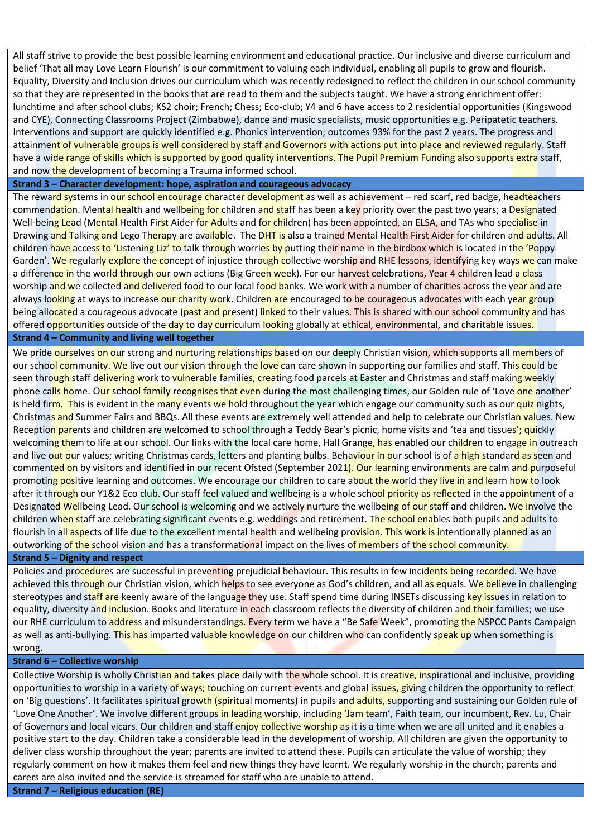All staff strive to provide the best possible learning environment and educational practice. Our inclusive and diverse curriculum and belief 'That all may Love Learn Flourish' is our commitment to valuing each individual, enabling all pupils to grow and flourish. Equality, Diversity and Inclusion drives our curriculum which was recently redesigned to reflect the children in our school community so that they are represented in the books that are read to them and the subjects taught. We have a strong enrichment offer: lunchtime and after school clubs; KS2 choir; French; Chess; Eco-club; Y4 and 6 have access to 2 residential opportunities (Kingswood and CYE), Connecting Classrooms Project (Zimbabwe), dance and music specialists, music opportunities e.g. Peripatetic teachers. Interventions and support are quickly identified e.g. Phonics intervention; outcomes 93% for the past 2 years. The progress and attainment of vulnerable groups is well considered by staff and Governors with actions put into place and reviewed regularly. Staff have a wide range of skills which is supported by good quality interventions. The Pupil Premium Funding also supports extra staff, and now the development of becoming a Trauma informed school.

#### **Strand 3 – Character development: hope, aspiration and courageous advocacy**

The reward systems in our school encourage character development as well as achievement – red scarf, red badge, headteachers commendation. Mental health and wellbeing for children and staff has been a key priority over the past two years; a Designated Well-being Lead (Mental Health First Aider for Adults and for children) has been appointed, an ELSA, and TAs who specialise in Drawing and Talking and Lego Therapy are available. The DHT is also a trained Mental Health First Aider for children and adults. All children have access to 'Listening Liz' to talk through worries by putting their name in the birdbox which is located in the 'Poppy Garden'. We regularly explore the concept of injustice through collective worship and RHE lessons, identifying key ways we can make a difference in the world through our own actions (Big Green week). For our harvest celebrations, Year 4 children lead a class worship and we collected and delivered food to our local food banks. We work with a number of charities across the year and are always looking at ways to increase our charity work. Children are encouraged to be courageous advocates with each year group being allocated a courageous advocate (past and present) linked to their values. This is shared with our school community and has offered opportunities outside of the day to day curriculum looking globally at ethical, environmental, and charitable issues. **Strand 4 – Community and living well together**

We pride ourselves on our strong and nurturing relationships based on our deeply Christian vision, which supports all members of our school community. We live out our vision through the love can care shown in supporting our families and staff. This could be seen through staff delivering work to vulnerable families, creating food parcels at Easter and Christmas and staff making weekly phone calls home. Our school family recognises that even during the most challenging times, our Golden rule of 'Love one another' is held firm. This is evident in the many events we hold throughout the year which engage our community such as our quiz nights, Christmas and Summer Fairs and BBQs. All these events are extremely well attended and help to celebrate our Christian values. New Reception parents and children are welcomed to school through a Teddy Bear's picnic, home visits and 'tea and tissues'; quickly welcoming them to life at our school. Our links with the local care home, Hall Grange, has enabled our children to engage in outreach and live out our values; writing Christmas cards, letters and planting bulbs. Behaviour in our school is of a high standard as seen and commented on by visitors and identified in our recent Ofsted (September 2021). Our learning environments are calm and purposeful promoting positive learning and outcomes. We encourage our children to care about the world they live in and learn how to look after it through our Y1&2 Eco club. Our staff feel valued and wellbeing is a whole school priority as reflected in the appointment of a Designated Wellbeing Lead. Our school is welcoming and we actively nurture the wellbeing of our staff and children. We involve the children when staff are celebrating significant events e.g. weddings and retirement. The school enables both pupils and adults to flourish in all aspects of life due to the excellent mental health and wellbeing provision. This work is intentionally planned as an outworking of the school vision and has a transformational impact on the lives of members of the school community.

## **Strand 5 – Dignity and respect**

Policies and procedures are successful in preventing prejudicial behaviour. This results in few incidents being recorded. We have achieved this through our Christian vision, which helps to see everyone as God's children, and all as equals. We believe in challenging stereotypes and staff are keenly aware of the language they use. Staff spend time during INSETs discussing key issues in relation to equality, diversity and inclusion. Books and literature in each classroom reflects the diversity of children and their families; we use our RHE curriculum to address and misunderstandings. Every term we have a "Be Safe Week", promoting the NSPCC Pants Campaign as well as anti-bullying. This has imparted valuable knowledge on our children who can confidently speak up when something is wrong.

#### **Strand 6 – Collective worship**

Collective Worship is wholly Christian and takes place daily with the whole school. It is creative, inspirational and inclusive, providing opportunities to worship in a variety of ways; touching on current events and global issues, giving children the opportunity to reflect on 'Big questions'. It facilitates spiritual growth (spiritual moments) in pupils and adults, supporting and sustaining our Golden rule of 'Love One Another'. We involve different groups in leading worship, including 'Jam team', Faith team, our incumbent, Rev. Lu, Chair of Governors and local vicars. Our children and staff enjoy collective worship as it is a time when we are all united and it enables a positive start to the day. Children take a considerable lead in the development of worship. All children are given the opportunity to deliver class worship throughout the year; parents are invited to attend these. Pupils can articulate the value of worship; they regularly comment on how it makes them feel and new things they have learnt. We regularly worship in the church; parents and carers are also invited and the service is streamed for staff who are unable to attend.

**Strand 7 – Religious education (RE)**